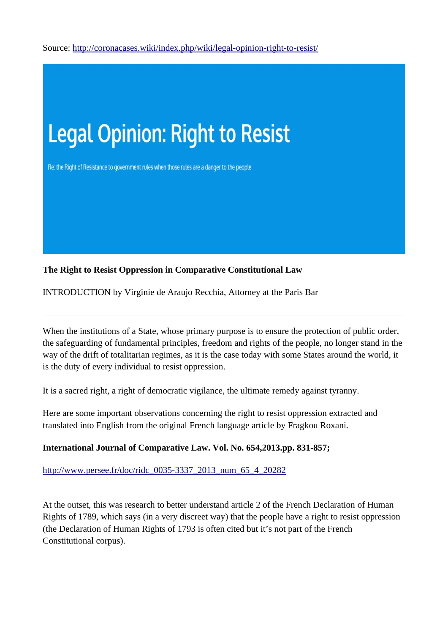Source:<http://coronacases.wiki/index.php/wiki/legal-opinion-right-to-resist/>



## **The Right to Resist Oppression in Comparative Constitutional Law**

INTRODUCTION by Virginie de Araujo Recchia, Attorney at the Paris Bar

When the institutions of a State, whose primary purpose is to ensure the protection of public order, the safeguarding of fundamental principles, freedom and rights of the people, no longer stand in the way of the drift of totalitarian regimes, as it is the case today with some States around the world, it is the duty of every individual to resist oppression.

It is a sacred right, a right of democratic vigilance, the ultimate remedy against tyranny.

Here are some important observations concerning the right to resist oppression extracted and translated into English from the original French language article by Fragkou Roxani.

## **International Journal of Comparative Law. Vol. No. 654,2013.pp. 831-857;**

[http://www.persee.fr/doc/ridc\\_0035-3337\\_2013\\_num\\_65\\_4\\_20282](http://www.persee.fr/doc/ridc_0035-3337_2013_num_65_4_20282)

At the outset, this was research to better understand article 2 of the French Declaration of Human Rights of 1789, which says (in a very discreet way) that the people have a right to resist oppression (the Declaration of Human Rights of 1793 is often cited but it's not part of the French Constitutional corpus).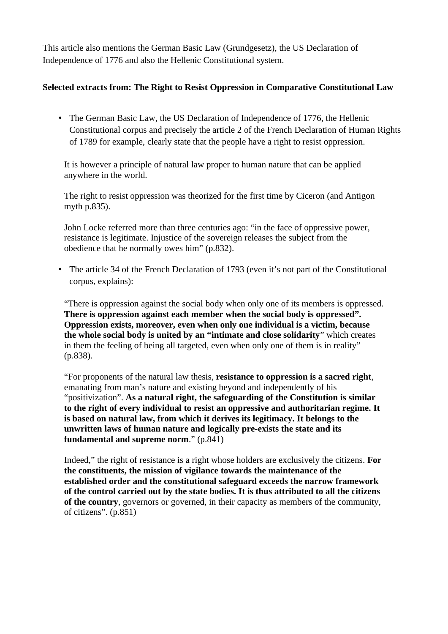This article also mentions the German Basic Law (Grundgesetz), the US Declaration of Independence of 1776 and also the Hellenic Constitutional system.

## **Selected extracts from: The Right to Resist Oppression in Comparative Constitutional Law**

• The German Basic Law, the US Declaration of Independence of 1776, the Hellenic Constitutional corpus and precisely the article 2 of the French Declaration of Human Rights of 1789 for example, clearly state that the people have a right to resist oppression.

It is however a principle of natural law proper to human nature that can be applied anywhere in the world.

The right to resist oppression was theorized for the first time by Ciceron (and Antigon myth p.835).

John Locke referred more than three centuries ago: "in the face of oppressive power, resistance is legitimate. Injustice of the sovereign releases the subject from the obedience that he normally owes him" (p.832).

• The article 34 of the French Declaration of 1793 (even it's not part of the Constitutional corpus, explains):

"There is oppression against the social body when only one of its members is oppressed. **There is oppression against each member when the social body is oppressed". Oppression exists, moreover, even when only one individual is a victim, because the whole social body is united by an "intimate and close solidarity**" which creates in them the feeling of being all targeted, even when only one of them is in reality" (p.838).

"For proponents of the natural law thesis, **resistance to oppression is a sacred right**, emanating from man's nature and existing beyond and independently of his "positivization". **As a natural right, the safeguarding of the Constitution is similar to the right of every individual to resist an oppressive and authoritarian regime. It is based on natural law, from which it derives its legitimacy. It belongs to the unwritten laws of human nature and logically pre-exists the state and its fundamental and supreme norm**." (p.841)

Indeed," the right of resistance is a right whose holders are exclusively the citizens. **For the constituents, the mission of vigilance towards the maintenance of the established order and the constitutional safeguard exceeds the narrow framework of the control carried out by the state bodies. It is thus attributed to all the citizens of the country**, governors or governed, in their capacity as members of the community, of citizens". (p.851)